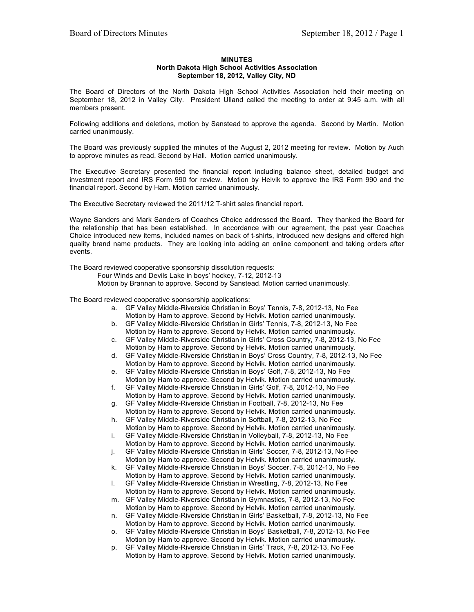## **MINUTES North Dakota High School Activities Association September 18, 2012, Valley City, ND**

The Board of Directors of the North Dakota High School Activities Association held their meeting on September 18, 2012 in Valley City. President Ulland called the meeting to order at 9:45 a.m. with all members present.

Following additions and deletions, motion by Sanstead to approve the agenda. Second by Martin. Motion carried unanimously.

The Board was previously supplied the minutes of the August 2, 2012 meeting for review. Motion by Auch to approve minutes as read. Second by Hall. Motion carried unanimously.

The Executive Secretary presented the financial report including balance sheet, detailed budget and investment report and IRS Form 990 for review. Motion by Helvik to approve the IRS Form 990 and the financial report. Second by Ham. Motion carried unanimously.

The Executive Secretary reviewed the 2011/12 T-shirt sales financial report.

Wayne Sanders and Mark Sanders of Coaches Choice addressed the Board. They thanked the Board for the relationship that has been established. In accordance with our agreement, the past year Coaches Choice introduced new items, included names on back of t-shirts, introduced new designs and offered high quality brand name products. They are looking into adding an online component and taking orders after events.

The Board reviewed cooperative sponsorship dissolution requests:

Four Winds and Devils Lake in boys' hockey, 7-12, 2012-13

Motion by Brannan to approve. Second by Sanstead. Motion carried unanimously.

The Board reviewed cooperative sponsorship applications:

- a. GF Valley Middle-Riverside Christian in Boys' Tennis, 7-8, 2012-13, No Fee Motion by Ham to approve. Second by Helvik. Motion carried unanimously.
- b. GF Valley Middle-Riverside Christian in Girls' Tennis, 7-8, 2012-13, No Fee Motion by Ham to approve. Second by Helvik. Motion carried unanimously.
- c. GF Valley Middle-Riverside Christian in Girls' Cross Country, 7-8, 2012-13, No Fee Motion by Ham to approve. Second by Helvik. Motion carried unanimously.
- d. GF Valley Middle-Riverside Christian in Boys' Cross Country, 7-8, 2012-13, No Fee Motion by Ham to approve. Second by Helvik. Motion carried unanimously.
- e. GF Valley Middle-Riverside Christian in Boys' Golf, 7-8, 2012-13, No Fee Motion by Ham to approve. Second by Helvik. Motion carried unanimously.
- f. GF Valley Middle-Riverside Christian in Girls' Golf, 7-8, 2012-13, No Fee Motion by Ham to approve. Second by Helvik. Motion carried unanimously.
- g. GF Valley Middle-Riverside Christian in Football, 7-8, 2012-13, No Fee Motion by Ham to approve. Second by Helvik. Motion carried unanimously.
- h. GF Valley Middle-Riverside Christian in Softball, 7-8, 2012-13, No Fee Motion by Ham to approve. Second by Helvik. Motion carried unanimously.
- i. GF Valley Middle-Riverside Christian in Volleyball, 7-8, 2012-13, No Fee Motion by Ham to approve. Second by Helvik. Motion carried unanimously.
- j. GF Valley Middle-Riverside Christian in Girls' Soccer, 7-8, 2012-13, No Fee Motion by Ham to approve. Second by Helvik. Motion carried unanimously.
- k. GF Valley Middle-Riverside Christian in Boys' Soccer, 7-8, 2012-13, No Fee Motion by Ham to approve. Second by Helvik. Motion carried unanimously.
- l. GF Valley Middle-Riverside Christian in Wrestling, 7-8, 2012-13, No Fee Motion by Ham to approve. Second by Helvik. Motion carried unanimously.
- m. GF Valley Middle-Riverside Christian in Gymnastics, 7-8, 2012-13, No Fee Motion by Ham to approve. Second by Helvik. Motion carried unanimously.
- n. GF Valley Middle-Riverside Christian in Girls' Basketball, 7-8, 2012-13, No Fee Motion by Ham to approve. Second by Helvik. Motion carried unanimously.
- o. GF Valley Middle-Riverside Christian in Boys' Basketball, 7-8, 2012-13, No Fee Motion by Ham to approve. Second by Helvik. Motion carried unanimously.
- p. GF Valley Middle-Riverside Christian in Girls' Track, 7-8, 2012-13, No Fee Motion by Ham to approve. Second by Helvik. Motion carried unanimously.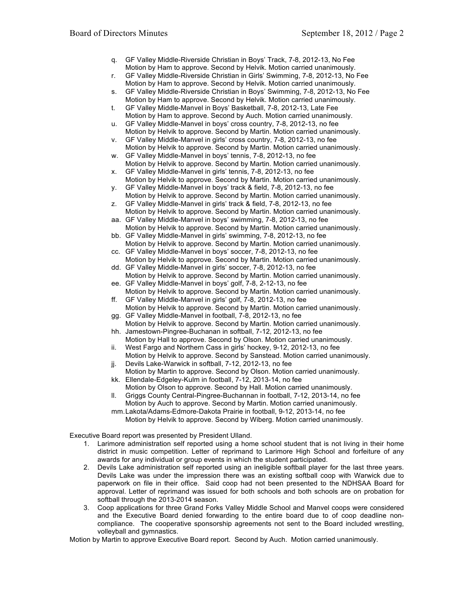- q. GF Valley Middle-Riverside Christian in Boys' Track, 7-8, 2012-13, No Fee Motion by Ham to approve. Second by Helvik. Motion carried unanimously.
- r. GF Valley Middle-Riverside Christian in Girls' Swimming, 7-8, 2012-13, No Fee Motion by Ham to approve. Second by Helvik. Motion carried unanimously.
- s. GF Valley Middle-Riverside Christian in Boys' Swimming, 7-8, 2012-13, No Fee Motion by Ham to approve. Second by Helvik. Motion carried unanimously.
- t. GF Valley Middle-Manvel in Boys' Basketball, 7-8, 2012-13, Late Fee Motion by Ham to approve. Second by Auch. Motion carried unanimously.
- u. GF Valley Middle-Manvel in boys' cross country, 7-8, 2012-13, no fee Motion by Helvik to approve. Second by Martin. Motion carried unanimously.
- v. GF Valley Middle-Manvel in girls' cross country, 7-8, 2012-13, no fee Motion by Helvik to approve. Second by Martin. Motion carried unanimously.
- w. GF Valley Middle-Manvel in boys' tennis, 7-8, 2012-13, no fee Motion by Helvik to approve. Second by Martin. Motion carried unanimously.
- x. GF Valley Middle-Manvel in girls' tennis, 7-8, 2012-13, no fee Motion by Helvik to approve. Second by Martin. Motion carried unanimously.
- y. GF Valley Middle-Manvel in boys' track & field, 7-8, 2012-13, no fee Motion by Helvik to approve. Second by Martin. Motion carried unanimously.
- z. GF Valley Middle-Manvel in girls' track & field, 7-8, 2012-13, no fee Motion by Helvik to approve. Second by Martin. Motion carried unanimously.
- aa. GF Valley Middle-Manvel in boys' swimming, 7-8, 2012-13, no fee Motion by Helvik to approve. Second by Martin. Motion carried unanimously.
- bb. GF Valley Middle-Manvel in girls' swimming, 7-8, 2012-13, no fee Motion by Helvik to approve. Second by Martin. Motion carried unanimously.
- cc. GF Valley Middle-Manvel in boys' soccer, 7-8, 2012-13, no fee Motion by Helvik to approve. Second by Martin. Motion carried unanimously.
- dd. GF Valley Middle-Manvel in girls' soccer, 7-8, 2012-13, no fee Motion by Helvik to approve. Second by Martin. Motion carried unanimously.
- ee. GF Valley Middle-Manvel in boys' golf, 7-8, 2-12-13, no fee Motion by Helvik to approve. Second by Martin. Motion carried unanimously.
- ff. GF Valley Middle-Manvel in girls' golf, 7-8, 2012-13, no fee Motion by Helvik to approve. Second by Martin. Motion carried unanimously.
- gg. GF Valley Middle-Manvel in football, 7-8, 2012-13, no fee
- Motion by Helvik to approve. Second by Martin. Motion carried unanimously. hh. Jamestown-Pingree-Buchanan in softball, 7-12, 2012-13, no fee
- Motion by Hall to approve. Second by Olson. Motion carried unanimously. ii. West Fargo and Northern Cass in girls' hockey, 9-12, 2012-13, no fee
- Motion by Helvik to approve. Second by Sanstead. Motion carried unanimously.
- jj. Devils Lake-Warwick in softball, 7-12, 2012-13, no fee
- Motion by Martin to approve. Second by Olson. Motion carried unanimously. kk. Ellendale-Edgeley-Kulm in football, 7-12, 2013-14, no fee
- Motion by Olson to approve. Second by Hall. Motion carried unanimously. ll. Griggs County Central-Pingree-Buchannan in football, 7-12, 2013-14, no fee
- Motion by Auch to approve. Second by Martin. Motion carried unanimously. mm.Lakota/Adams-Edmore-Dakota Prairie in football, 9-12, 2013-14, no fee Motion by Helvik to approve. Second by Wiberg. Motion carried unanimously.

Executive Board report was presented by President Ulland.

- 1. Larimore administration self reported using a home school student that is not living in their home district in music competition. Letter of reprimand to Larimore High School and forfeiture of any awards for any individual or group events in which the student participated.
- 2. Devils Lake administration self reported using an ineligible softball player for the last three years. Devils Lake was under the impression there was an existing softball coop with Warwick due to paperwork on file in their office. Said coop had not been presented to the NDHSAA Board for approval. Letter of reprimand was issued for both schools and both schools are on probation for softball through the 2013-2014 season.
- 3. Coop applications for three Grand Forks Valley Middle School and Manvel coops were considered and the Executive Board denied forwarding to the entire board due to of coop deadline noncompliance. The cooperative sponsorship agreements not sent to the Board included wrestling, volleyball and gymnastics.

Motion by Martin to approve Executive Board report. Second by Auch. Motion carried unanimously.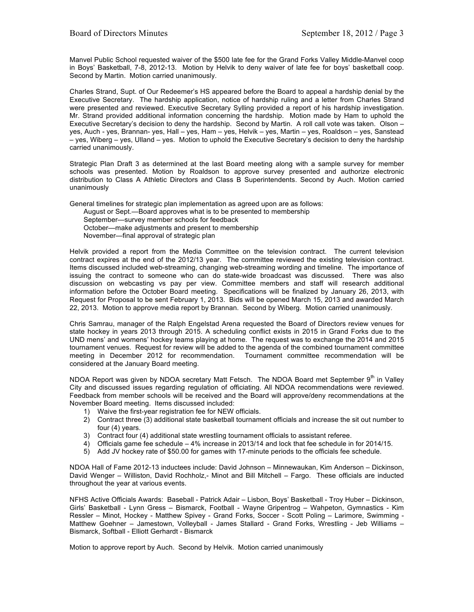Manvel Public School requested waiver of the \$500 late fee for the Grand Forks Valley Middle-Manvel coop in Boys' Basketball, 7-8, 2012-13. Motion by Helvik to deny waiver of late fee for boys' basketball coop. Second by Martin. Motion carried unanimously.

Charles Strand, Supt. of Our Redeemer's HS appeared before the Board to appeal a hardship denial by the Executive Secretary. The hardship application, notice of hardship ruling and a letter from Charles Strand were presented and reviewed. Executive Secretary Sylling provided a report of his hardship investigation. Mr. Strand provided additional information concerning the hardship. Motion made by Ham to uphold the Executive Secretary's decision to deny the hardship. Second by Martin. A roll call vote was taken. Olson – yes, Auch - yes, Brannan- yes, Hall – yes, Ham – yes, Helvik – yes, Martin – yes, Roaldson – yes, Sanstead – yes, Wiberg – yes, Ulland – yes. Motion to uphold the Executive Secretary's decision to deny the hardship carried unanimously.

Strategic Plan Draft 3 as determined at the last Board meeting along with a sample survey for member schools was presented. Motion by Roaldson to approve survey presented and authorize electronic distribution to Class A Athletic Directors and Class B Superintendents. Second by Auch. Motion carried unanimously

General timelines for strategic plan implementation as agreed upon are as follows: August or Sept.—Board approves what is to be presented to membership

September—survey member schools for feedback October—make adjustments and present to membership November—final approval of strategic plan

Helvik provided a report from the Media Committee on the television contract. The current television contract expires at the end of the 2012/13 year. The committee reviewed the existing television contract. Items discussed included web-streaming, changing web-streaming wording and timeline. The importance of issuing the contract to someone who can do state-wide broadcast was discussed. There was also discussion on webcasting vs pay per view. Committee members and staff will research additional information before the October Board meeting. Specifications will be finalized by January 26, 2013, with Request for Proposal to be sent February 1, 2013. Bids will be opened March 15, 2013 and awarded March 22, 2013. Motion to approve media report by Brannan. Second by Wiberg. Motion carried unanimously.

Chris Samrau, manager of the Ralph Engelstad Arena requested the Board of Directors review venues for state hockey in years 2013 through 2015. A scheduling conflict exists in 2015 in Grand Forks due to the UND mens' and womens' hockey teams playing at home. The request was to exchange the 2014 and 2015 tournament venues. Request for review will be added to the agenda of the combined tournament committee meeting in December 2012 for recommendation. Tournament committee recommendation will be considered at the January Board meeting.

NDOA Report was given by NDOA secretary Matt Fetsch. The NDOA Board met September  $9<sup>th</sup>$  in Valley City and discussed issues regarding regulation of officiating. All NDOA recommendations were reviewed. Feedback from member schools will be received and the Board will approve/deny recommendations at the November Board meeting. Items discussed included:

- 1) Waive the first-year registration fee for NEW officials.
- 2) Contract three (3) additional state basketball tournament officials and increase the sit out number to four (4) years.
- 3) Contract four (4) additional state wrestling tournament officials to assistant referee.
- 4) Officials game fee schedule 4% increase in 2013/14 and lock that fee schedule in for 2014/15.
- 5) Add JV hockey rate of \$50.00 for games with 17-minute periods to the officials fee schedule.

NDOA Hall of Fame 2012-13 inductees include: David Johnson – Minnewaukan, Kim Anderson – Dickinson, David Wenger – Williston, David Rochholz,- Minot and Bill Mitchell – Fargo. These officials are inducted throughout the year at various events.

NFHS Active Officials Awards: Baseball - Patrick Adair – Lisbon, Boys' Basketball - Troy Huber – Dickinson, Girls' Basketball - Lynn Gress – Bismarck, Football - Wayne Gripentrog – Wahpeton, Gymnastics - Kim Ressler – Minot, Hockey - Matthew Spivey - Grand Forks, Soccer - Scott Poling – Larimore, Swimming - Matthew Goehner - Jamestown, Volleyball - James Stallard - Grand Forks, Wrestling - Jeb Williams -Bismarck, Softball - Elliott Gerhardt - Bismarck

Motion to approve report by Auch. Second by Helvik. Motion carried unanimously